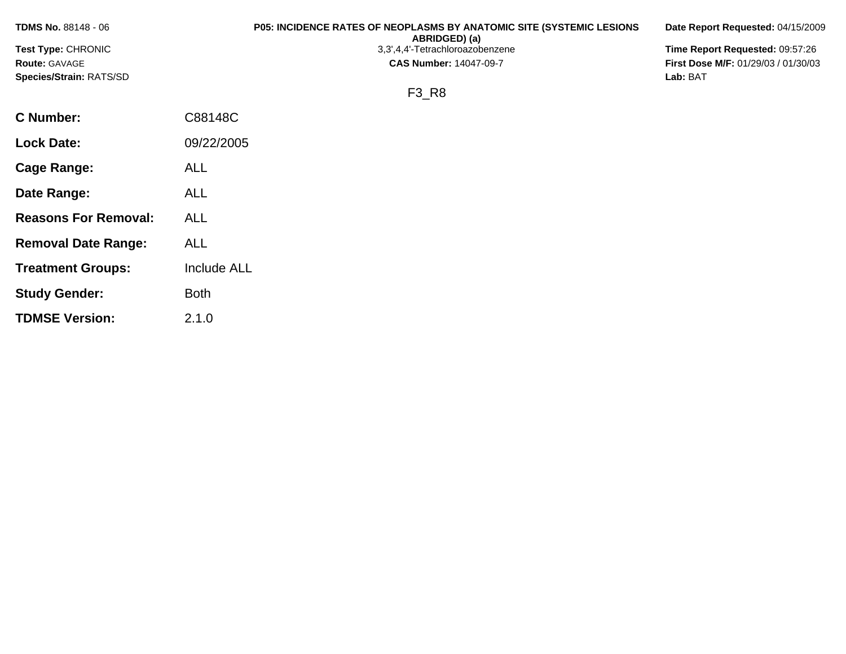| <b>TDMS No. 88148 - 06</b> |            | <b>P05: INCIDENCE RATES OF NEOPLASMS BY ANATOMIC SITE (SYSTEMIC LESIONS)</b><br>ABRIDGED) (a) | Date Report Requested: 04/15/2009          |
|----------------------------|------------|-----------------------------------------------------------------------------------------------|--------------------------------------------|
| <b>Test Type: CHRONIC</b>  |            | 3,3',4,4'-Tetrachloroazobenzene                                                               | Time Report Requested: 09:57:26            |
| <b>Route: GAVAGE</b>       |            | <b>CAS Number: 14047-09-7</b>                                                                 | <b>First Dose M/F: 01/29/03 / 01/30/03</b> |
| Species/Strain: RATS/SD    |            |                                                                                               | Lab: BAT                                   |
|                            |            | F3 R8                                                                                         |                                            |
| C Number:                  | C88148C    |                                                                                               |                                            |
| <b>Lock Date:</b>          | 09/22/2005 |                                                                                               |                                            |

**Cage Range:** ALL

**Date Range:** ALL

**Reasons For Removal:** ALL

**Removal Date Range:** ALL

**Study Gender:** Both

**TDMSE Version:** 2.1.0

**Treatment Groups:** Include ALL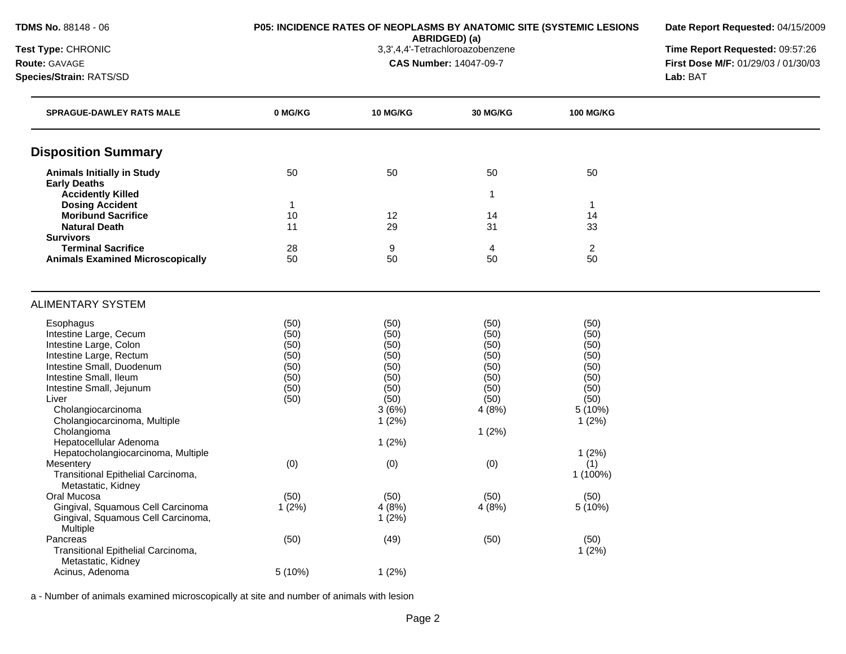**Date Report Requested:** 04/15/2009

**Time Report Requested: 09:57:26** 

| Test Type: CHRONIC     |
|------------------------|
| <b>Route: GAVAGE</b>   |
| Species/Strain: RATS/S |

**ABRIDGED) (a)**<br>3,3',4,4'-Tetrachloroazobenzene **CAS Number:** 14047-09-7 **First Dose M/F:** 01/29/03 / 01/30/03 **Species/Strain:** RATS/SD **Lab:** BAT

| <b>SPRAGUE-DAWLEY RATS MALE</b>                          | 0 MG/KG      | 10 MG/KG      | <b>30 MG/KG</b> | <b>100 MG/KG</b> |  |
|----------------------------------------------------------|--------------|---------------|-----------------|------------------|--|
| <b>Disposition Summary</b>                               |              |               |                 |                  |  |
| <b>Animals Initially in Study</b>                        | 50           | 50            | 50              | 50               |  |
| <b>Early Deaths</b>                                      |              |               |                 |                  |  |
| <b>Accidently Killed</b>                                 |              |               | $\mathbf{1}$    |                  |  |
| <b>Dosing Accident</b>                                   | $\mathbf{1}$ |               |                 | $\mathbf{1}$     |  |
| <b>Moribund Sacrifice</b>                                | 10           | 12            | 14              | 14               |  |
| <b>Natural Death</b><br><b>Survivors</b>                 | 11           | 29            | 31              | 33               |  |
| <b>Terminal Sacrifice</b>                                | 28           | 9             | 4               | $\overline{2}$   |  |
| <b>Animals Examined Microscopically</b>                  | 50           | 50            | 50              | 50               |  |
|                                                          |              |               |                 |                  |  |
| <b>ALIMENTARY SYSTEM</b>                                 |              |               |                 |                  |  |
| Esophagus                                                | (50)         | (50)          | (50)            | (50)             |  |
| Intestine Large, Cecum                                   | (50)         | (50)          | (50)            | (50)             |  |
| Intestine Large, Colon                                   | (50)         | (50)          | (50)            | (50)             |  |
| Intestine Large, Rectum                                  | (50)         | (50)          | (50)            | (50)             |  |
| Intestine Small, Duodenum                                | (50)         | (50)          | (50)            | (50)             |  |
| Intestine Small, Ileum                                   | (50)         | (50)          | (50)            | (50)             |  |
| Intestine Small, Jejunum                                 | (50)         | (50)          | (50)            | (50)             |  |
| Liver<br>Cholangiocarcinoma                              | (50)         | (50)<br>3(6%) | (50)<br>4(8%)   | (50)<br>5 (10%)  |  |
| Cholangiocarcinoma, Multiple                             |              | 1(2%)         |                 | 1(2%)            |  |
| Cholangioma                                              |              |               | 1(2%)           |                  |  |
| Hepatocellular Adenoma                                   |              | 1(2%)         |                 |                  |  |
| Hepatocholangiocarcinoma, Multiple                       |              |               |                 | 1(2%)            |  |
| Mesentery                                                | (0)          | (0)           | (0)             | (1)              |  |
| Transitional Epithelial Carcinoma,<br>Metastatic, Kidney |              |               |                 | 1 (100%)         |  |
| Oral Mucosa                                              | (50)         | (50)          | (50)            | (50)             |  |
| Gingival, Squamous Cell Carcinoma                        | 1(2%)        | 4(8%)         | 4(8%)           | 5(10%)           |  |
| Gingival, Squamous Cell Carcinoma,                       |              | 1(2%)         |                 |                  |  |
| Multiple                                                 |              |               |                 |                  |  |
| Pancreas                                                 | (50)         | (49)          | (50)            | (50)             |  |
| Transitional Epithelial Carcinoma,                       |              |               |                 | 1(2%)            |  |
| Metastatic, Kidney<br>Acinus, Adenoma                    | 5 (10%)      | 1(2%)         |                 |                  |  |
|                                                          |              |               |                 |                  |  |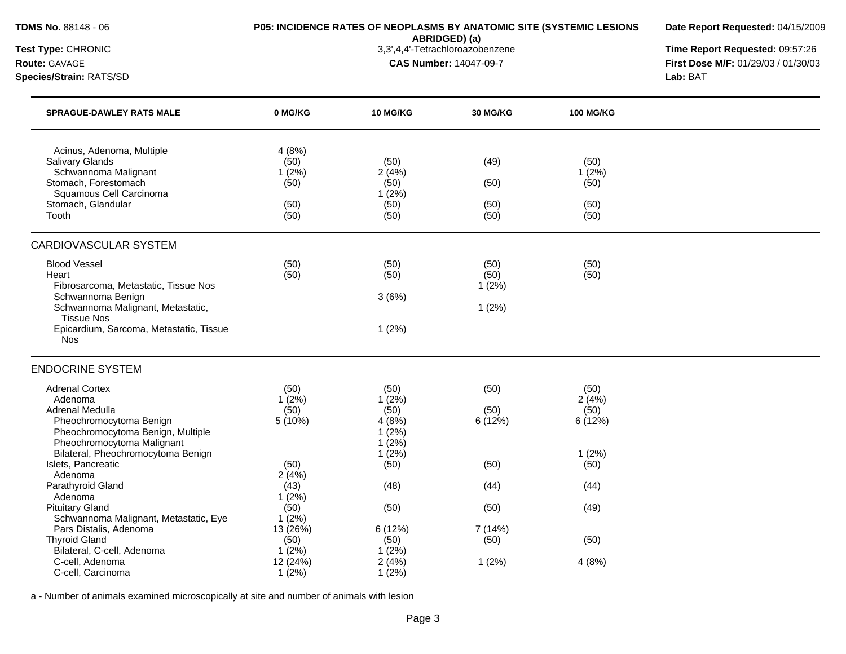**Date Report Requested:** 04/15/2009

**ABRIDGED) (a)**<br>3,3',4,4'-Tetrachloroazobenzene

**Species/Strain:** RATS/SD **Lab:** BAT

**Test Type:** CHRONIC 3,3',4,4'-Tetrachloroazobenzene **Time Report Requested:** 09:57:26 **Route:** GAVAGE **CAS Number:** 14047-09-7 **First Dose M/F:** 01/29/03 / 01/30/03

| <b>SPRAGUE-DAWLEY RATS MALE</b>                                                                                                                                                                              | 0 MG/KG                                        | <b>10 MG/KG</b>                                     | 30 MG/KG                       | <b>100 MG/KG</b>                      |  |
|--------------------------------------------------------------------------------------------------------------------------------------------------------------------------------------------------------------|------------------------------------------------|-----------------------------------------------------|--------------------------------|---------------------------------------|--|
| Acinus, Adenoma, Multiple<br><b>Salivary Glands</b><br>Schwannoma Malignant<br>Stomach, Forestomach<br>Squamous Cell Carcinoma<br>Stomach, Glandular<br>Tooth                                                | 4(8%)<br>(50)<br>1(2%)<br>(50)<br>(50)<br>(50) | (50)<br>2(4%)<br>(50)<br>1(2%)<br>(50)<br>(50)      | (49)<br>(50)<br>(50)<br>(50)   | (50)<br>1(2%)<br>(50)<br>(50)<br>(50) |  |
| CARDIOVASCULAR SYSTEM                                                                                                                                                                                        |                                                |                                                     |                                |                                       |  |
| <b>Blood Vessel</b><br>Heart<br>Fibrosarcoma, Metastatic, Tissue Nos<br>Schwannoma Benign<br>Schwannoma Malignant, Metastatic,<br><b>Tissue Nos</b><br>Epicardium, Sarcoma, Metastatic, Tissue<br><b>Nos</b> | (50)<br>(50)                                   | (50)<br>(50)<br>3(6%)<br>1(2%)                      | (50)<br>(50)<br>1(2%)<br>1(2%) | (50)<br>(50)                          |  |
| <b>ENDOCRINE SYSTEM</b>                                                                                                                                                                                      |                                                |                                                     |                                |                                       |  |
| <b>Adrenal Cortex</b><br>Adenoma<br>Adrenal Medulla<br>Pheochromocytoma Benign<br>Pheochromocytoma Benign, Multiple<br>Pheochromocytoma Malignant                                                            | (50)<br>1(2%)<br>(50)<br>5 (10%)               | (50)<br>1(2%)<br>(50)<br>4(8%)<br>1(2%)<br>$1(2\%)$ | (50)<br>(50)<br>6 (12%)        | (50)<br>2(4%)<br>(50)<br>6(12%)       |  |
| Bilateral, Pheochromocytoma Benign<br>Islets, Pancreatic<br>Adenoma                                                                                                                                          | (50)<br>2(4%)                                  | 1(2%)<br>(50)                                       | (50)                           | 1(2%)<br>(50)                         |  |
| Parathyroid Gland<br>Adenoma                                                                                                                                                                                 | (43)<br>1(2%)                                  | (48)                                                | (44)                           | (44)                                  |  |
| <b>Pituitary Gland</b><br>Schwannoma Malignant, Metastatic, Eye                                                                                                                                              | (50)<br>1(2%)                                  | (50)                                                | (50)                           | (49)                                  |  |
| Pars Distalis, Adenoma<br><b>Thyroid Gland</b>                                                                                                                                                               | 13 (26%)<br>(50)                               | 6(12%)<br>(50)                                      | 7(14%)<br>(50)                 | (50)                                  |  |
| Bilateral, C-cell, Adenoma<br>C-cell, Adenoma<br>C-cell, Carcinoma                                                                                                                                           | $1(2\%)$<br>12 (24%)<br>1(2%)                  | 1(2%)<br>2(4%)<br>1(2%)                             | 1(2%)                          | 4(8%)                                 |  |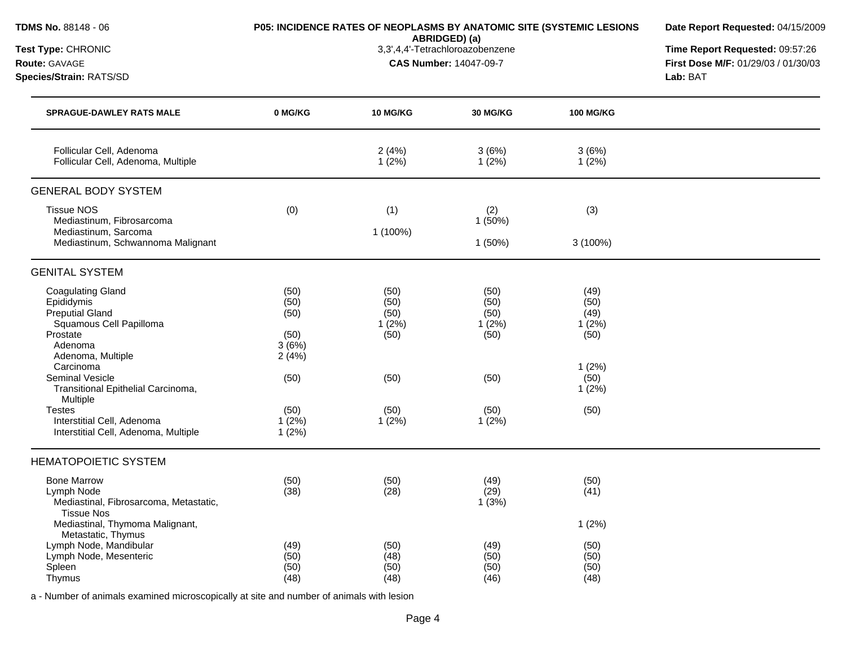**ABRIDGED) (a)**

**Date Report Requested:** 04/15/2009

**Test Type:** CHRONIC 3,3',4,4'-Tetrachloroazobenzene **Time Report Requested:** 09:57:26 **Route:** GAVAGE **CAS Number:** 14047-09-7 **First Dose M/F:** 01/29/03 / 01/30/03 **Species/Strain:** RATS/SD **Lab:** BAT

# Follicular Cell, Adenoma 2 (4%) 3 (6%) 3 (6%) 3 (6%) Follicular Cell, Adenoma, Multiple 1 (2%) 1 (2%) 1 (2%) 1 (2%) 1 (2%) GENERAL BODY SYSTEM Tissue NOS (0) (1) (2) (3) Mediastinum, Fibrosarcoma 1 (50%) 1 (50%) 1 (50%) 1 (50%) 1 (50%) 1 (50%) 1 (50%) 1 (50%) 1 (50%) 1 (50%) 1 (50%) Mediastinum, Sarcoma 1 (100%) Mediastinum, Schwannoma Malignant 1 (50%) 3 (100%) GENITAL SYSTEM Coagulating Gland (50) (50) (50) (50) (50) (50) (50) (49) (50) (50) (50) (50) (50) (50) (50) Epididymis (50) (50) (50) (50) Preputial Gland (50) (50) (50) (49) Squamous Cell Papilloma 1 (2%) 1 (2%) 1 (2%) 1 (2%) 1 (2%) Prostate (50) (50) (50) (50) Adenoma 3 (6%) Adenoma, Multiple 2 (4%) Carcinoma 1 (2%) Seminal Vesicle (50) (50) (50) (50) Transitional Epithelial Carcinoma, Multiple 1 (2%) Testes (50) (50) (50) (50) Interstitial Cell, Adenoma 1 (2%) 1 (2%) 1 (2%) 1 (2%) Interstitial Cell, Adenoma, Multiple 1 (2%) HEMATOPOIETIC SYSTEM Bone Marrow (50) (50) (49) (50) Lymph Node (38) (28) (29) (41) Mediastinal, Fibrosarcoma, Metastatic, Tissue Nos 1 (3%) Mediastinal, Thymoma Malignant, Metastatic, Thymus 1 (2%) Lymph Node, Mandibular (49) (50) (50) (50) (50) (50) (50) Lymph Node, Mesenteric (50) (48) (50) (50) Spleen (50) (50) (50) (50) Thymus (48) (48) (46) (48) **SPRAGUE-DAWLEY RATS MALE 0 MG/KG 10 MG/KG 30 MG/KG 100 MG/KG**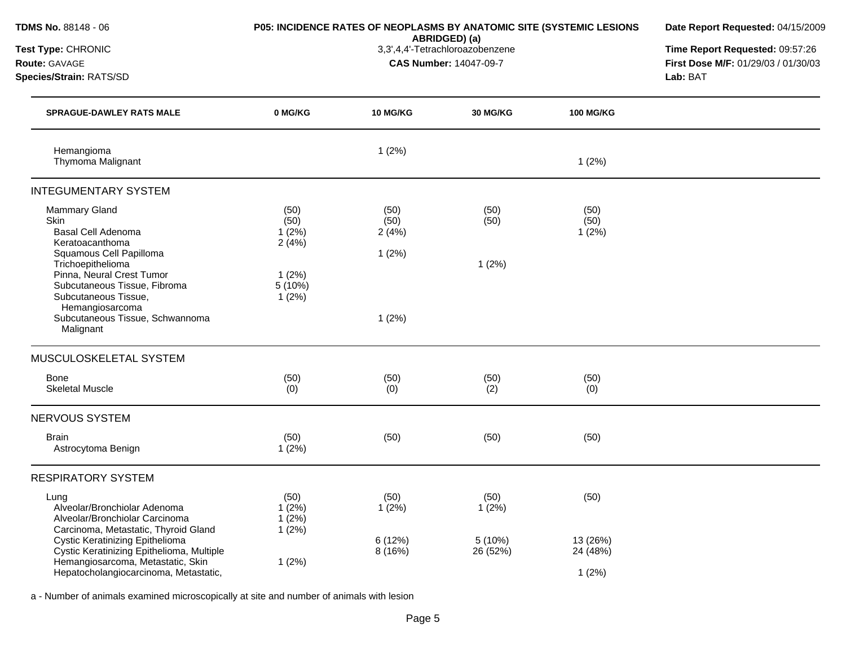| TDMS No. 88148 - 06<br>Test Type: CHRONIC<br><b>Route: GAVAGE</b><br>Species/Strain: RATS/SD                                                         |                                 | P05: INCIDENCE RATES OF NEOPLASMS BY ANATOMIC SITE (SYSTEMIC LESIONS<br>ABRIDGED) (a)<br>3,3',4,4'-Tetrachloroazobenzene<br><b>CAS Number: 14047-09-7</b> |                    |                       | Date Report Requested: 04/15/2009<br>Time Report Requested: 09:57:26<br>First Dose M/F: 01/29/03 / 01/30/03<br>Lab: BAT |
|------------------------------------------------------------------------------------------------------------------------------------------------------|---------------------------------|-----------------------------------------------------------------------------------------------------------------------------------------------------------|--------------------|-----------------------|-------------------------------------------------------------------------------------------------------------------------|
| <b>SPRAGUE-DAWLEY RATS MALE</b>                                                                                                                      | 0 MG/KG                         | 10 MG/KG                                                                                                                                                  | <b>30 MG/KG</b>    | <b>100 MG/KG</b>      |                                                                                                                         |
| Hemangioma<br>Thymoma Malignant                                                                                                                      |                                 | 1(2%)                                                                                                                                                     |                    | 1(2%)                 |                                                                                                                         |
| <b>INTEGUMENTARY SYSTEM</b>                                                                                                                          |                                 |                                                                                                                                                           |                    |                       |                                                                                                                         |
| <b>Mammary Gland</b><br>Skin<br>Basal Cell Adenoma<br>Keratoacanthoma                                                                                | (50)<br>(50)<br>1(2%)<br>2(4%)  | (50)<br>(50)<br>2(4%)                                                                                                                                     | (50)<br>(50)       | (50)<br>(50)<br>1(2%) |                                                                                                                         |
| Squamous Cell Papilloma<br>Trichoepithelioma<br>Pinna, Neural Crest Tumor<br>Subcutaneous Tissue, Fibroma<br>Subcutaneous Tissue,<br>Hemangiosarcoma | 1(2%)<br>5 (10%)<br>1(2%)       | 1(2%)                                                                                                                                                     | 1(2%)              |                       |                                                                                                                         |
| Subcutaneous Tissue, Schwannoma<br>Malignant                                                                                                         |                                 | 1(2%)                                                                                                                                                     |                    |                       |                                                                                                                         |
| MUSCULOSKELETAL SYSTEM                                                                                                                               |                                 |                                                                                                                                                           |                    |                       |                                                                                                                         |
| Bone<br><b>Skeletal Muscle</b>                                                                                                                       | (50)<br>(0)                     | (50)<br>(0)                                                                                                                                               | (50)<br>(2)        | (50)<br>(0)           |                                                                                                                         |
| NERVOUS SYSTEM                                                                                                                                       |                                 |                                                                                                                                                           |                    |                       |                                                                                                                         |
| <b>Brain</b><br>Astrocytoma Benign                                                                                                                   | (50)<br>1(2%)                   | (50)                                                                                                                                                      | (50)               | (50)                  |                                                                                                                         |
| <b>RESPIRATORY SYSTEM</b>                                                                                                                            |                                 |                                                                                                                                                           |                    |                       |                                                                                                                         |
| Lung<br>Alveolar/Bronchiolar Adenoma<br>Alveolar/Bronchiolar Carcinoma<br>Carcinoma, Metastatic, Thyroid Gland                                       | (50)<br>1(2%)<br>1(2%)<br>1(2%) | (50)<br>1(2%)                                                                                                                                             | (50)<br>1(2%)      | (50)                  |                                                                                                                         |
| Cystic Keratinizing Epithelioma<br>Cystic Keratinizing Epithelioma, Multiple<br>Hemangiosarcoma, Metastatic, Skin                                    | 1(2%)                           | 6 (12%)<br>8 (16%)                                                                                                                                        | 5(10%)<br>26 (52%) | 13 (26%)<br>24 (48%)  |                                                                                                                         |
| Hepatocholangiocarcinoma, Metastatic,                                                                                                                |                                 |                                                                                                                                                           |                    | 1(2%)                 |                                                                                                                         |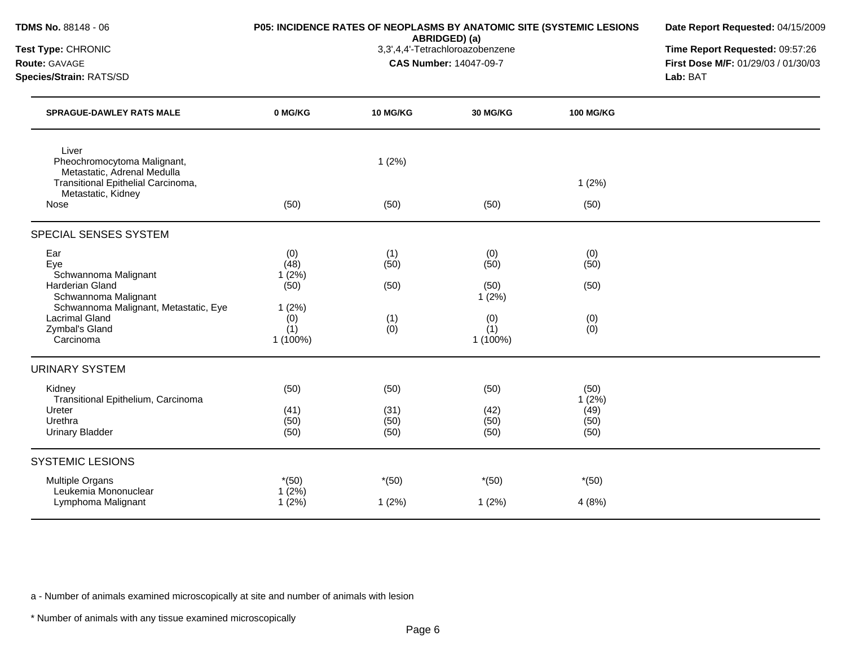| TDMS No. 88148 - 06                                                                           |                                 | P05: INCIDENCE RATES OF NEOPLASMS BY ANATOMIC SITE (SYSTEMIC LESIONS | Date Report Requested: 04/15/2009                                                                                                                                       |                  |  |
|-----------------------------------------------------------------------------------------------|---------------------------------|----------------------------------------------------------------------|-------------------------------------------------------------------------------------------------------------------------------------------------------------------------|------------------|--|
| Test Type: CHRONIC<br>Route: GAVAGE<br>Species/Strain: RATS/SD                                |                                 |                                                                      | ABRIDGED) (a)<br>3,3',4,4'-Tetrachloroazobenzene<br>Time Report Requested: 09:57:26<br><b>CAS Number: 14047-09-7</b><br>First Dose M/F: 01/29/03 / 01/30/03<br>Lab: BAT |                  |  |
| <b>SPRAGUE-DAWLEY RATS MALE</b>                                                               | 0 MG/KG                         | 10 MG/KG                                                             | 30 MG/KG                                                                                                                                                                | <b>100 MG/KG</b> |  |
| Liver<br>Pheochromocytoma Malignant,<br>Metastatic, Adrenal Medulla                           |                                 | 1(2%)                                                                |                                                                                                                                                                         |                  |  |
| Transitional Epithelial Carcinoma,<br>Metastatic, Kidney                                      |                                 |                                                                      |                                                                                                                                                                         | 1(2%)            |  |
| Nose                                                                                          | (50)                            | (50)                                                                 | (50)                                                                                                                                                                    | (50)             |  |
| SPECIAL SENSES SYSTEM                                                                         |                                 |                                                                      |                                                                                                                                                                         |                  |  |
| Ear<br>Eye<br>Schwannoma Malignant                                                            | (0)<br>(48)<br>1(2%)            | (1)<br>(50)                                                          | (0)<br>(50)                                                                                                                                                             | (0)<br>(50)      |  |
| Harderian Gland<br>Schwannoma Malignant                                                       | (50)                            | (50)                                                                 | (50)<br>1(2%)                                                                                                                                                           | (50)             |  |
| Schwannoma Malignant, Metastatic, Eye<br><b>Lacrimal Gland</b><br>Zymbal's Gland<br>Carcinoma | 1(2%)<br>(0)<br>(1)<br>1 (100%) | (1)<br>(0)                                                           | (0)<br>(1)<br>1 (100%)                                                                                                                                                  | (0)<br>(0)       |  |
| <b>URINARY SYSTEM</b>                                                                         |                                 |                                                                      |                                                                                                                                                                         |                  |  |
| Kidney<br>Transitional Epithelium, Carcinoma                                                  | (50)                            | (50)                                                                 | (50)                                                                                                                                                                    | (50)<br>1(2%)    |  |
| Ureter                                                                                        | (41)                            | (31)                                                                 | (42)                                                                                                                                                                    | (49)             |  |
| Urethra<br><b>Urinary Bladder</b>                                                             | (50)<br>(50)                    | (50)<br>(50)                                                         | (50)<br>(50)                                                                                                                                                            | (50)<br>(50)     |  |
| <b>SYSTEMIC LESIONS</b>                                                                       |                                 |                                                                      |                                                                                                                                                                         |                  |  |
| <b>Multiple Organs</b>                                                                        | $*(50)$                         | $*(50)$                                                              | $*(50)$                                                                                                                                                                 | $*(50)$          |  |
| Leukemia Mononuclear<br>Lymphoma Malignant                                                    | 1(2%)<br>1(2%)                  | 1(2%)                                                                | 1(2%)                                                                                                                                                                   | 4(8%)            |  |

a - Number of animals examined microscopically at site and number of animals with lesion

\* Number of animals with any tissue examined microscopically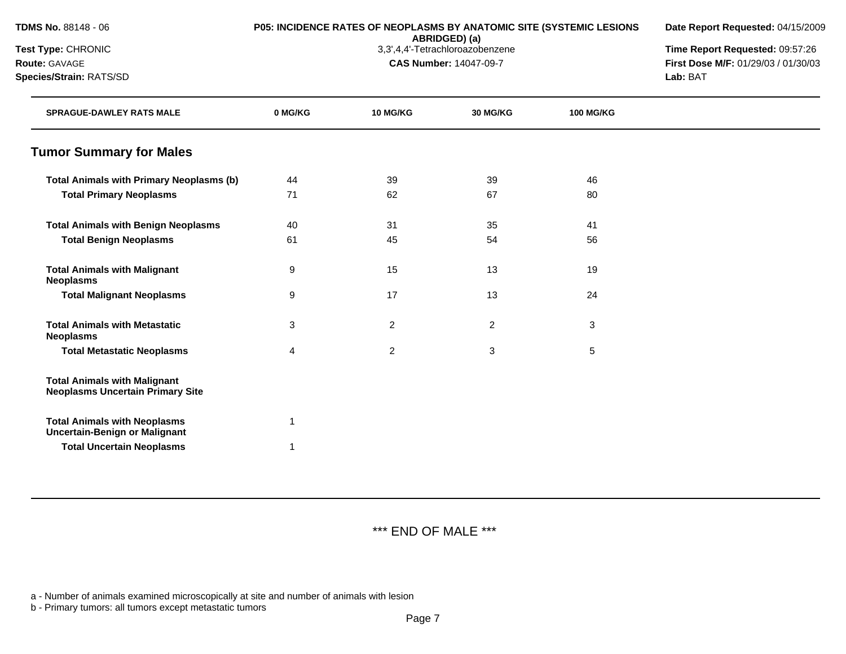| <b>TDMS No.</b> 88148 - 06 |  |  |
|----------------------------|--|--|
|----------------------------|--|--|

# **P05: INCIDENCE RATES OF NEOPLASMS BY ANATOMIC SITE (SYSTEMIC LESIONS**

**ABRIDGED) (a)**<br>3,3',4,4'-Tetrachloroazobenzene

**Date Report Requested:** 04/15/2009

**Test Type:** CHRONIC 3,3',4,4'-Tetrachloroazobenzene **Time Report Requested:** 09:57:26

**Route:** GAVAGE **CAS Number:** 14047-09-7 **First Dose M/F:** 01/29/03 / 01/30/03 **Species/Strain:** RATS/SD **Lab:** BAT

| <b>SPRAGUE-DAWLEY RATS MALE</b>                                                | 0 MG/KG | <b>10 MG/KG</b> | 30 MG/KG       | <b>100 MG/KG</b> |  |
|--------------------------------------------------------------------------------|---------|-----------------|----------------|------------------|--|
| <b>Tumor Summary for Males</b>                                                 |         |                 |                |                  |  |
| <b>Total Animals with Primary Neoplasms (b)</b>                                | 44      | 39              | 39             | 46               |  |
| <b>Total Primary Neoplasms</b>                                                 | 71      | 62              | 67             | 80               |  |
| <b>Total Animals with Benign Neoplasms</b>                                     | 40      | 31              | 35             | 41               |  |
| <b>Total Benign Neoplasms</b>                                                  | 61      | 45              | 54             | 56               |  |
| <b>Total Animals with Malignant</b><br><b>Neoplasms</b>                        | 9       | 15              | 13             | 19               |  |
| <b>Total Malignant Neoplasms</b>                                               | 9       | 17              | 13             | 24               |  |
| <b>Total Animals with Metastatic</b><br><b>Neoplasms</b>                       | 3       | $\overline{c}$  | $\overline{2}$ | $\sqrt{3}$       |  |
| <b>Total Metastatic Neoplasms</b>                                              | 4       | $\overline{c}$  | 3              | 5                |  |
| <b>Total Animals with Malignant</b><br><b>Neoplasms Uncertain Primary Site</b> |         |                 |                |                  |  |
| <b>Total Animals with Neoplasms</b><br><b>Uncertain-Benign or Malignant</b>    | 1       |                 |                |                  |  |
| <b>Total Uncertain Neoplasms</b>                                               | 1       |                 |                |                  |  |

\*\*\* END OF MALE \*\*\*

a - Number of animals examined microscopically at site and number of animals with lesion

b - Primary tumors: all tumors except metastatic tumors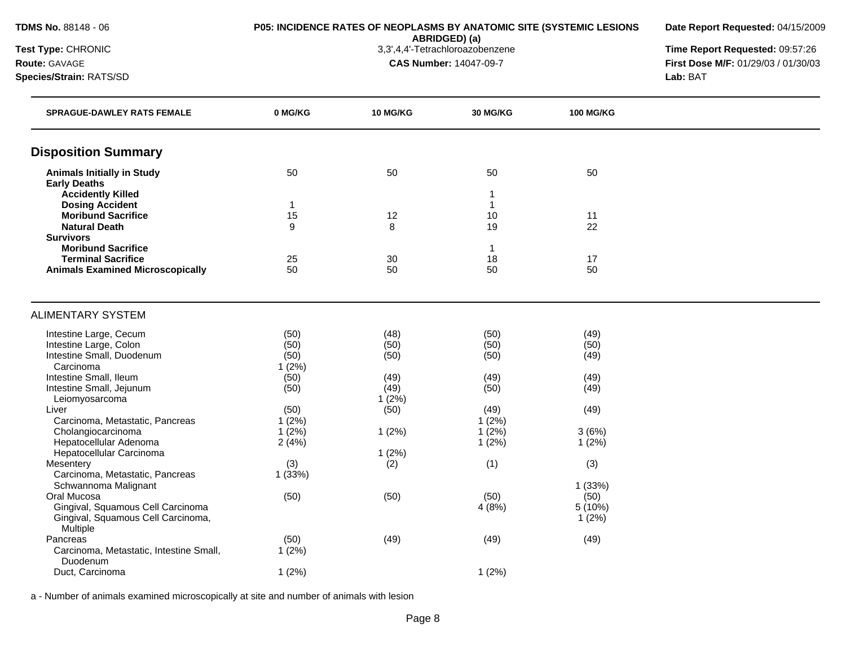**ABRIDGED) (a)**<br>3,3',4,4'-Tetrachloroazobenzene

**SPRAGUE-DAWLEY RATS FEMALE 0 MG/KG 10 MG/KG 30 MG/KG 100 MG/KG**

**Date Report Requested:** 04/15/2009

**Test Type:** CHRONIC 3,3',4,4'-Tetrachloroazobenzene **Time Report Requested:** 09:57:26 **CAS Number:** 14047-09-7 **First Dose M/F:** 01/29/03 / 01/30/03

| <b>IBSL TYPE.</b> UNIVERSITY | 5.0 H.4 - FelidulluludZubelizelle | i ilile kel      |
|------------------------------|-----------------------------------|------------------|
| <b>Route: GAVAGE</b>         | <b>CAS Number: 14047-09-7</b>     | First Dos        |
| Species/Strain: RATS/SD      |                                   | <b>Lab: B</b> AT |

| <b>Disposition Summary</b>                         |        |       |       |         |  |
|----------------------------------------------------|--------|-------|-------|---------|--|
| <b>Animals Initially in Study</b>                  | 50     | 50    | 50    | 50      |  |
| <b>Early Deaths</b>                                |        |       |       |         |  |
| <b>Accidently Killed</b><br><b>Dosing Accident</b> | -1     |       | 1     |         |  |
| <b>Moribund Sacrifice</b>                          | 15     | 12    | 10    | 11      |  |
| <b>Natural Death</b>                               | 9      | 8     | 19    | 22      |  |
| <b>Survivors</b>                                   |        |       |       |         |  |
| <b>Moribund Sacrifice</b>                          |        |       | 1     |         |  |
| <b>Terminal Sacrifice</b>                          | 25     | 30    | 18    | 17      |  |
| <b>Animals Examined Microscopically</b>            | 50     | 50    | 50    | 50      |  |
|                                                    |        |       |       |         |  |
| <b>ALIMENTARY SYSTEM</b>                           |        |       |       |         |  |
| Intestine Large, Cecum                             | (50)   | (48)  | (50)  | (49)    |  |
| Intestine Large, Colon                             | (50)   | (50)  | (50)  | (50)    |  |
| Intestine Small, Duodenum                          | (50)   | (50)  | (50)  | (49)    |  |
| Carcinoma                                          | 1(2%)  |       |       |         |  |
| Intestine Small, Ileum                             | (50)   | (49)  | (49)  | (49)    |  |
| Intestine Small, Jejunum                           | (50)   | (49)  | (50)  | (49)    |  |
| Leiomyosarcoma                                     |        | 1(2%) |       |         |  |
| Liver                                              | (50)   | (50)  | (49)  | (49)    |  |
| Carcinoma, Metastatic, Pancreas                    | 1(2%)  |       | 1(2%) |         |  |
| Cholangiocarcinoma                                 | 1(2%)  | 1(2%) | 1(2%) | 3(6%)   |  |
| Hepatocellular Adenoma                             | 2(4%)  |       | 1(2%) | 1(2%)   |  |
| Hepatocellular Carcinoma                           |        | 1(2%) |       |         |  |
| Mesentery                                          | (3)    | (2)   | (1)   | (3)     |  |
| Carcinoma, Metastatic, Pancreas                    | 1(33%) |       |       |         |  |
| Schwannoma Malignant                               |        |       |       | 1(33%)  |  |
| Oral Mucosa                                        | (50)   | (50)  | (50)  | (50)    |  |
| Gingival, Squamous Cell Carcinoma                  |        |       | 4(8%) | 5 (10%) |  |
| Gingival, Squamous Cell Carcinoma,                 |        |       |       | 1(2%)   |  |
| Multiple                                           |        |       |       |         |  |
| Pancreas                                           | (50)   | (49)  | (49)  | (49)    |  |

 $1 (2\%)$ 

Duct, Carcinoma 1 (2%) 1 (2%) 1 (2%)

a - Number of animals examined microscopically at site and number of animals with lesion

Carcinoma, Metastatic, Intestine Small,

Duodenum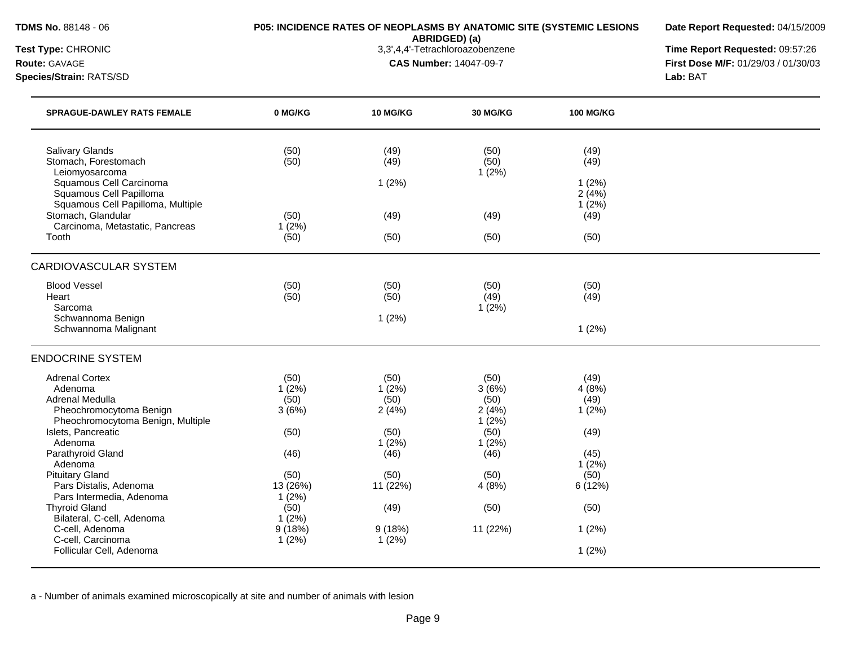**ABRIDGED) (a)**<br>3,3',4,4'-Tetrachloroazobenzene

**Date Report Requested:** 04/15/2009

**Test Type:** CHRONIC 3,3',4,4'-Tetrachloroazobenzene **Time Report Requested:** 09:57:26 **Route:** GAVAGE **CAS Number:** 14047-09-7 **First Dose M/F:** 01/29/03 / 01/30/03

**Species/Strain:** RATS/SD **Lab:** BAT

| <b>SPRAGUE-DAWLEY RATS FEMALE</b>                                                                                                                           | 0 MG/KG                        | 10 MG/KG                       | <b>30 MG/KG</b>                         | <b>100 MG/KG</b>               |  |
|-------------------------------------------------------------------------------------------------------------------------------------------------------------|--------------------------------|--------------------------------|-----------------------------------------|--------------------------------|--|
| <b>Salivary Glands</b><br>Stomach, Forestomach<br>Leiomyosarcoma<br>Squamous Cell Carcinoma<br>Squamous Cell Papilloma<br>Squamous Cell Papilloma, Multiple | (50)<br>(50)                   | (49)<br>(49)<br>1(2%)          | (50)<br>(50)<br>1(2%)                   | (49)<br>(49)<br>1(2%)<br>2(4%) |  |
| Stomach, Glandular                                                                                                                                          | (50)                           | (49)                           | (49)                                    | 1(2%)<br>(49)                  |  |
| Carcinoma, Metastatic, Pancreas<br>Tooth                                                                                                                    | 1(2%)<br>(50)                  | (50)                           | (50)                                    | (50)                           |  |
| <b>CARDIOVASCULAR SYSTEM</b>                                                                                                                                |                                |                                |                                         |                                |  |
| <b>Blood Vessel</b><br>Heart<br>Sarcoma                                                                                                                     | (50)<br>(50)                   | (50)<br>(50)                   | (50)<br>(49)<br>1(2%)                   | (50)<br>(49)                   |  |
| Schwannoma Benign<br>Schwannoma Malignant                                                                                                                   |                                | 1(2%)                          |                                         | 1(2%)                          |  |
| <b>ENDOCRINE SYSTEM</b>                                                                                                                                     |                                |                                |                                         |                                |  |
| <b>Adrenal Cortex</b><br>Adenoma<br><b>Adrenal Medulla</b><br>Pheochromocytoma Benign<br>Pheochromocytoma Benign, Multiple                                  | (50)<br>1(2%)<br>(50)<br>3(6%) | (50)<br>1(2%)<br>(50)<br>2(4%) | (50)<br>3(6%)<br>(50)<br>2(4%)<br>1(2%) | (49)<br>4(8%)<br>(49)<br>1(2%) |  |
| Islets, Pancreatic<br>Adenoma<br>Parathyroid Gland                                                                                                          | (50)<br>(46)                   | (50)<br>1(2%)<br>(46)          | (50)<br>1(2%)<br>(46)                   | (49)<br>(45)                   |  |
| Adenoma<br><b>Pituitary Gland</b><br>Pars Distalis, Adenoma<br>Pars Intermedia, Adenoma                                                                     | (50)<br>13 (26%)<br>1(2%)      | (50)<br>11 (22%)               | (50)<br>4(8%)                           | 1(2%)<br>(50)<br>6(12%)        |  |
| <b>Thyroid Gland</b><br>Bilateral, C-cell, Adenoma                                                                                                          | (50)<br>1(2%)                  | (49)                           | (50)                                    | (50)                           |  |
| C-cell, Adenoma<br>C-cell, Carcinoma                                                                                                                        | 9(18%)<br>1(2%)                | 9(18%)<br>1(2%)                | 11 (22%)                                | 1(2%)                          |  |
| Follicular Cell, Adenoma                                                                                                                                    |                                |                                |                                         | 1(2%)                          |  |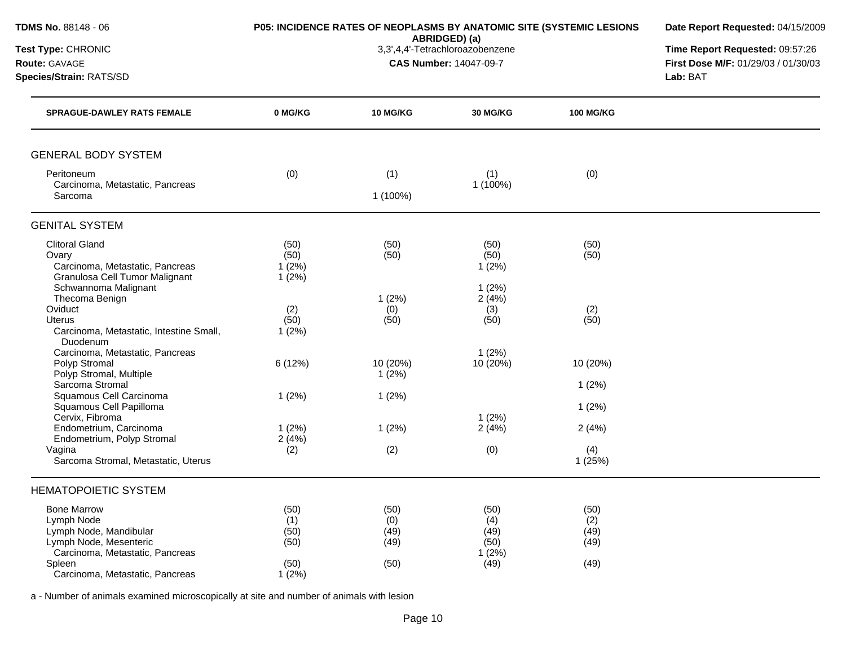| <b>TDMS No. 88148 - 06</b><br>Test Type: CHRONIC                                                              |                                |                               | ABRIDGED) (a)<br>3,3',4,4'-Tetrachloroazobenzene | P05: INCIDENCE RATES OF NEOPLASMS BY ANATOMIC SITE (SYSTEMIC LESIONS | Date Report Requested: 04/15/2009<br>Time Report Requested: 09:57:26 |
|---------------------------------------------------------------------------------------------------------------|--------------------------------|-------------------------------|--------------------------------------------------|----------------------------------------------------------------------|----------------------------------------------------------------------|
| Route: GAVAGE<br>Species/Strain: RATS/SD                                                                      |                                | <b>CAS Number: 14047-09-7</b> | First Dose M/F: 01/29/03 / 01/30/03<br>Lab: BAT  |                                                                      |                                                                      |
| <b>SPRAGUE-DAWLEY RATS FEMALE</b>                                                                             | 0 MG/KG                        | <b>10 MG/KG</b>               | <b>30 MG/KG</b>                                  | <b>100 MG/KG</b>                                                     |                                                                      |
| <b>GENERAL BODY SYSTEM</b>                                                                                    |                                |                               |                                                  |                                                                      |                                                                      |
| Peritoneum<br>Carcinoma, Metastatic, Pancreas<br>Sarcoma                                                      | (0)                            | (1)<br>1 (100%)               | (1)<br>1 (100%)                                  | (0)                                                                  |                                                                      |
| <b>GENITAL SYSTEM</b>                                                                                         |                                |                               |                                                  |                                                                      |                                                                      |
| <b>Clitoral Gland</b><br>Ovary<br>Carcinoma, Metastatic, Pancreas<br>Granulosa Cell Tumor Malignant           | (50)<br>(50)<br>1(2%)<br>1(2%) | (50)<br>(50)                  | (50)<br>(50)<br>1(2%)                            | (50)<br>(50)                                                         |                                                                      |
| Schwannoma Malignant<br>Thecoma Benign<br>Oviduct<br><b>Uterus</b><br>Carcinoma, Metastatic, Intestine Small, | (2)<br>(50)<br>1(2%)           | 1(2%)<br>(0)<br>(50)          | 1(2%)<br>2(4%)<br>(3)<br>(50)                    | (2)<br>(50)                                                          |                                                                      |
| Duodenum<br>Carcinoma, Metastatic, Pancreas<br>Polyp Stromal<br>Polyp Stromal, Multiple<br>Sarcoma Stromal    | 6 (12%)                        | 10 (20%)<br>1(2%)             | 1(2%)<br>10 (20%)                                | 10 (20%)                                                             |                                                                      |
| Squamous Cell Carcinoma<br>Squamous Cell Papilloma<br>Cervix, Fibroma                                         | 1(2%)                          | 1(2%)                         | 1(2%)                                            | 1(2%)<br>1(2%)                                                       |                                                                      |
| Endometrium, Carcinoma<br>Endometrium, Polyp Stromal<br>Vagina                                                | 1(2%)<br>2(4%)<br>(2)          | 1(2%)<br>(2)                  | 2(4%)<br>(0)                                     | 2(4%)<br>(4)                                                         |                                                                      |
| Sarcoma Stromal, Metastatic, Uterus<br><b>HEMATOPOIETIC SYSTEM</b>                                            |                                |                               |                                                  | 1(25%)                                                               |                                                                      |
| <b>Bone Marrow</b><br>Lymph Node                                                                              | (50)<br>(1)                    | (50)<br>(0)                   | (50)<br>(4)                                      | (50)<br>(2)                                                          |                                                                      |
| Lymph Node, Mandibular<br>Lymph Node, Mesenteric<br>Carcinoma, Metastatic, Pancreas                           | (50)<br>(50)                   | (49)<br>(49)                  | (49)<br>(50)<br>1(2%)                            | (49)<br>(49)                                                         |                                                                      |
| Spleen<br>Carcinoma, Metastatic, Pancreas                                                                     | (50)<br>1(2%)                  | (50)                          | (49)                                             | (49)                                                                 |                                                                      |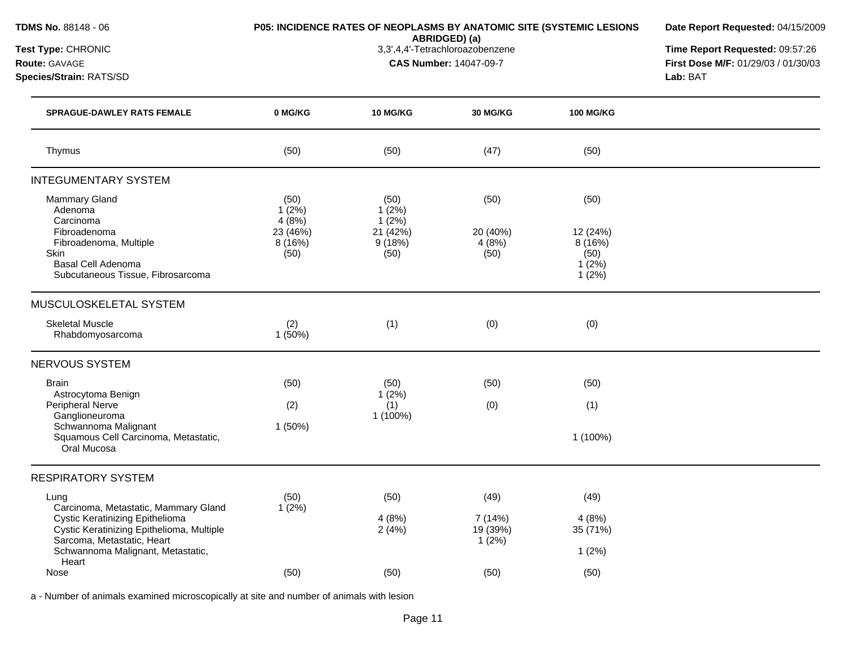|  |  |  | <b>TDMS No.</b> 88148 - 06 |  |  |
|--|--|--|----------------------------|--|--|
|--|--|--|----------------------------|--|--|

# **P05: INCIDENCE RATES OF NEOPLASMS BY ANATOMIC SITE (SYSTEMIC LESIONS**

**Date Report Requested:** 04/15/2009

**ABRIDGED) (a)**<br>3,3',4,4'-Tetrachloroazobenzene

**Test Type:** CHRONIC 3,3',4,4'-Tetrachloroazobenzene **Time Report Requested:** 09:57:26 **Route:** GAVAGE **CAS Number:** 14047-09-7 **First Dose M/F:** 01/29/03 / 01/30/03 **Species/Strain:** RATS/SD **Lab:** BAT

| <b>SPRAGUE-DAWLEY RATS FEMALE</b>                                                                          | 0 MG/KG                    | 10 MG/KG                   | 30 MG/KG                     | <b>100 MG/KG</b>                                |  |
|------------------------------------------------------------------------------------------------------------|----------------------------|----------------------------|------------------------------|-------------------------------------------------|--|
| Thymus                                                                                                     | (50)                       | (50)                       | (47)                         | (50)                                            |  |
| <b>INTEGUMENTARY SYSTEM</b>                                                                                |                            |                            |                              |                                                 |  |
| Mammary Gland<br>Adenoma<br>Carcinoma                                                                      | (50)<br>1(2%)<br>4(8%)     | (50)<br>1(2%)<br>$1(2\%)$  | (50)                         | (50)                                            |  |
| Fibroadenoma<br>Fibroadenoma, Multiple<br>Skin<br>Basal Cell Adenoma<br>Subcutaneous Tissue, Fibrosarcoma  | 23 (46%)<br>8(16%)<br>(50) | 21 (42%)<br>9(18%)<br>(50) | 20 (40%)<br>4(8%)<br>(50)    | 12 (24%)<br>8(16%)<br>(50)<br>$1(2\%)$<br>1(2%) |  |
| MUSCULOSKELETAL SYSTEM                                                                                     |                            |                            |                              |                                                 |  |
| <b>Skeletal Muscle</b><br>Rhabdomyosarcoma                                                                 | (2)<br>1(50%)              | (1)                        | (0)                          | (0)                                             |  |
| <b>NERVOUS SYSTEM</b>                                                                                      |                            |                            |                              |                                                 |  |
| <b>Brain</b><br>Astrocytoma Benign                                                                         | (50)                       | (50)<br>1(2%)              | (50)                         | (50)                                            |  |
| Peripheral Nerve<br>Ganglioneuroma                                                                         | (2)                        | (1)<br>1 (100%)            | (0)                          | (1)                                             |  |
| Schwannoma Malignant<br>Squamous Cell Carcinoma, Metastatic,<br>Oral Mucosa                                | 1(50%)                     |                            |                              | 1 (100%)                                        |  |
| <b>RESPIRATORY SYSTEM</b>                                                                                  |                            |                            |                              |                                                 |  |
| Lung<br>Carcinoma, Metastatic, Mammary Gland                                                               | (50)<br>1(2%)              | (50)                       | (49)                         | (49)                                            |  |
| Cystic Keratinizing Epithelioma<br>Cystic Keratinizing Epithelioma, Multiple<br>Sarcoma, Metastatic, Heart |                            | 4(8%)<br>2(4%)             | 7 (14%)<br>19 (39%)<br>1(2%) | 4(8%)<br>35 (71%)                               |  |
| Schwannoma Malignant, Metastatic,<br>Heart                                                                 |                            |                            |                              | 1(2%)                                           |  |
| Nose                                                                                                       | (50)                       | (50)                       | (50)                         | (50)                                            |  |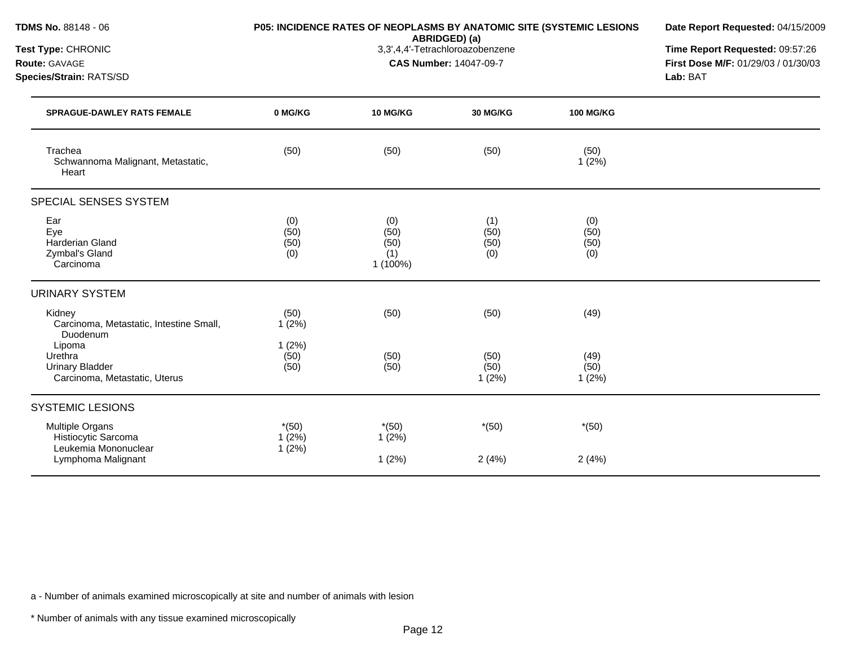| TDMS No. 88148 - 06                                                          | P05: INCIDENCE RATES OF NEOPLASMS BY ANATOMIC SITE (SYSTEMIC LESIONS<br>ABRIDGED) (a)<br>3,3',4,4'-Tetrachloroazobenzene<br><b>CAS Number: 14047-09-7</b> |                                        |                            |                            | Date Report Requested: 04/15/2009                                                  |  |
|------------------------------------------------------------------------------|-----------------------------------------------------------------------------------------------------------------------------------------------------------|----------------------------------------|----------------------------|----------------------------|------------------------------------------------------------------------------------|--|
| Test Type: CHRONIC<br>Route: GAVAGE<br>Species/Strain: RATS/SD               |                                                                                                                                                           |                                        |                            |                            | Time Report Requested: 09:57:26<br>First Dose M/F: 01/29/03 / 01/30/03<br>Lab: BAT |  |
| <b>SPRAGUE-DAWLEY RATS FEMALE</b>                                            | 0 MG/KG                                                                                                                                                   | <b>10 MG/KG</b>                        | 30 MG/KG                   | <b>100 MG/KG</b>           |                                                                                    |  |
| Trachea<br>Schwannoma Malignant, Metastatic,<br>Heart                        | (50)                                                                                                                                                      | (50)                                   | (50)                       | (50)<br>1(2%)              |                                                                                    |  |
| SPECIAL SENSES SYSTEM                                                        |                                                                                                                                                           |                                        |                            |                            |                                                                                    |  |
| Ear<br>Eye<br>Harderian Gland<br>Zymbal's Gland<br>Carcinoma                 | (0)<br>(50)<br>(50)<br>(0)                                                                                                                                | (0)<br>(50)<br>(50)<br>(1)<br>1 (100%) | (1)<br>(50)<br>(50)<br>(0) | (0)<br>(50)<br>(50)<br>(0) |                                                                                    |  |
| <b>URINARY SYSTEM</b>                                                        |                                                                                                                                                           |                                        |                            |                            |                                                                                    |  |
| Kidney<br>Carcinoma, Metastatic, Intestine Small,<br>Duodenum                | (50)<br>1(2%)                                                                                                                                             | (50)                                   | (50)                       | (49)                       |                                                                                    |  |
| Lipoma<br>Urethra<br><b>Urinary Bladder</b><br>Carcinoma, Metastatic, Uterus | 1(2%)<br>(50)<br>(50)                                                                                                                                     | (50)<br>(50)                           | (50)<br>(50)<br>1(2%)      | (49)<br>(50)<br>1(2%)      |                                                                                    |  |
| <b>SYSTEMIC LESIONS</b>                                                      |                                                                                                                                                           |                                        |                            |                            |                                                                                    |  |
| Multiple Organs<br>Histiocytic Sarcoma<br>Leukemia Mononuclear               | $*(50)$<br>$1(2\%)$<br>1(2%)                                                                                                                              | $*(50)$<br>1(2%)                       | $*(50)$                    | $*(50)$                    |                                                                                    |  |
| Lymphoma Malignant                                                           |                                                                                                                                                           | 1(2%)                                  | 2(4%)                      | 2(4%)                      |                                                                                    |  |

a - Number of animals examined microscopically at site and number of animals with lesion

\* Number of animals with any tissue examined microscopically